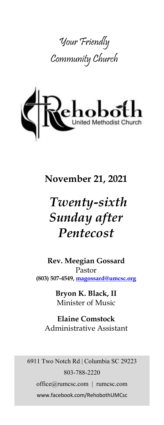



# **November 21, 2021**

# *Twenty-sixth Sunday after Pentecost*

**Rev. Meegian Gossard** Pastor **(803) 507-4549, magossard@umcsc.org**

> **Bryon K. Black, II** Minister of Music

**Elaine Comstock** Administrative Assistant

6911 Two Notch Rd | Columbia SC 29223 803-788-2220 office@rumcsc.com | rumcsc.com www.facebook.com/RehobothUMCsc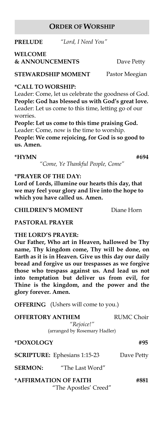### **ORDER OF WORSHIP**

**PRELUDE** *"Lord, I Need You"*

**WELCOME & ANNOUNCEMENTS** Dave Petty

**STEWARDSHIP MOMENT** Pastor Meegian

**\*CALL TO WORSHIP:**

Leader: Come, let us celebrate the goodness of God. **People: God has blessed us with God's great love.** Leader: Let us come to this time, letting go of our worries.

**People: Let us come to this time praising God.** Leader: Come, now is the time to worship. **People: We come rejoicing, for God is so good to us. Amen.**

#### **\*HYMN #694**

*"Come, Ye Thankful People, Come"*

#### **\*PRAYER OF THE DAY:**

**Lord of Lords, illumine our hearts this day, that we may feel your glory and live into the hope to which you have called us. Amen.**

**CHILDREN'S MOMENT** Diane Horn

**PASTORAL PRAYER**

#### **THE LORD'S PRAYER:**

**Our Father, Who art in Heaven, hallowed be Thy name, Thy kingdom come, Thy will be done, on Earth as it is in Heaven. Give us this day our daily bread and forgive us our trespasses as we forgive those who trespass against us. And lead us not into temptation but deliver us from evil, for Thine is the kingdom, and the power and the glory forever. Amen.** 

**OFFERING** (Ushers will come to you.)

| <b>OFFERTORY ANTHEM</b>       | <b>RUMC Choir</b> |
|-------------------------------|-------------------|
| "Rejoice!"                    |                   |
| (arranged by Rosemary Hadler) |                   |
|                               |                   |

# **SCRIPTURE:** Ephesians 1:15-23 Dave Petty

#### **SERMON:** "The Last Word"

**\*AFFIRMATION OF FAITH #881** "The Apostles' Creed"

**\*DOXOLOGY #95**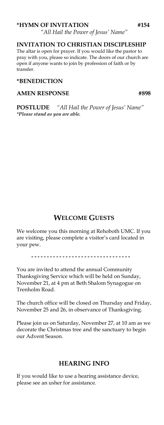#### **\*HYMN OF INVITATION #154**

*"All Hail the Power of Jesus' Name"*

#### **INVITATION TO CHRISTIAN DISCIPLESHIP**

The altar is open for prayer. If you would like the pastor to pray with you, please so indicate. The doors of our church are open if anyone wants to join by profession of faith or by transfer.

#### **\*BENEDICTION**

#### **AMEN RESPONSE #898**

**POSTLUDE** *"All Hail the Power of Jesus' Name" \*Please stand as you are able.*

#### **WELCOME GUESTS**

We welcome you this morning at Rehoboth UMC. If you are visiting, please complete a visitor's card located in your pew.

**- - - - - - - - - - - - - - - - - - - - - - - - - - - - - - - -**

You are invited to attend the annual Community Thanksgiving Service which will be held on Sunday, November 21, at 4 pm at Beth Shalom Synagogue on Trenholm Road.

The church office will be closed on Thursday and Friday, November 25 and 26, in observance of Thanksgiving.

Please join us on Saturday, November 27, at 10 am as we decorate the Christmas tree and the sanctuary to begin our Advent Season.

#### **HEARING INFO**

If you would like to use a hearing assistance device, please see an usher for assistance.